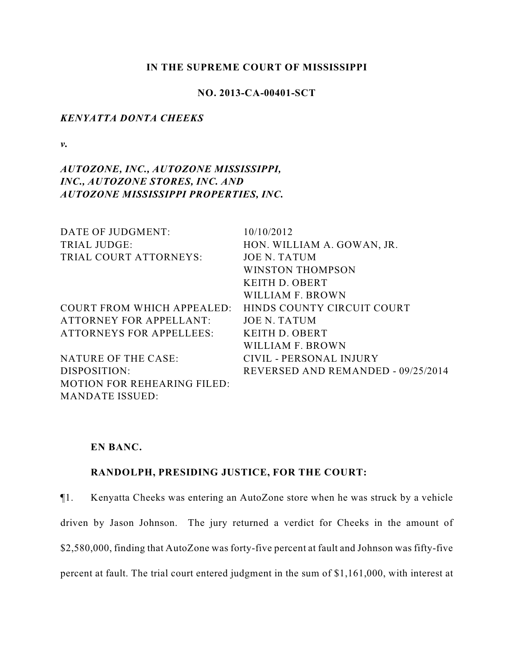### **IN THE SUPREME COURT OF MISSISSIPPI**

# **NO. 2013-CA-00401-SCT**

### *KENYATTA DONTA CHEEKS*

*v.*

# *AUTOZONE, INC., AUTOZONE MISSISSIPPI, INC., AUTOZONE STORES, INC. AND AUTOZONE MISSISSIPPI PROPERTIES, INC.*

| DATE OF JUDGMENT:                  | 10/10/2012                         |
|------------------------------------|------------------------------------|
| <b>TRIAL JUDGE:</b>                | HON. WILLIAM A. GOWAN, JR.         |
| TRIAL COURT ATTORNEYS:             | <b>JOE N. TATUM</b>                |
|                                    | <b>WINSTON THOMPSON</b>            |
|                                    | KEITH D. OBERT                     |
|                                    | WILLIAM F. BROWN                   |
| COURT FROM WHICH APPEALED:         | HINDS COUNTY CIRCUIT COURT         |
| <b>ATTORNEY FOR APPELLANT:</b>     | JOE N. TATUM                       |
| <b>ATTORNEYS FOR APPELLEES:</b>    | KEITH D. OBERT                     |
|                                    | WILLIAM F. BROWN                   |
| NATURE OF THE CASE:                | CIVIL - PERSONAL INJURY            |
| DISPOSITION:                       | REVERSED AND REMANDED - 09/25/2014 |
| <b>MOTION FOR REHEARING FILED:</b> |                                    |
| <b>MANDATE ISSUED:</b>             |                                    |

# **EN BANC.**

## **RANDOLPH, PRESIDING JUSTICE, FOR THE COURT:**

¶1. Kenyatta Cheeks was entering an AutoZone store when he was struck by a vehicle driven by Jason Johnson. The jury returned a verdict for Cheeks in the amount of \$2,580,000, finding that AutoZone was forty-five percent at fault and Johnson was fifty-five percent at fault. The trial court entered judgment in the sum of \$1,161,000, with interest at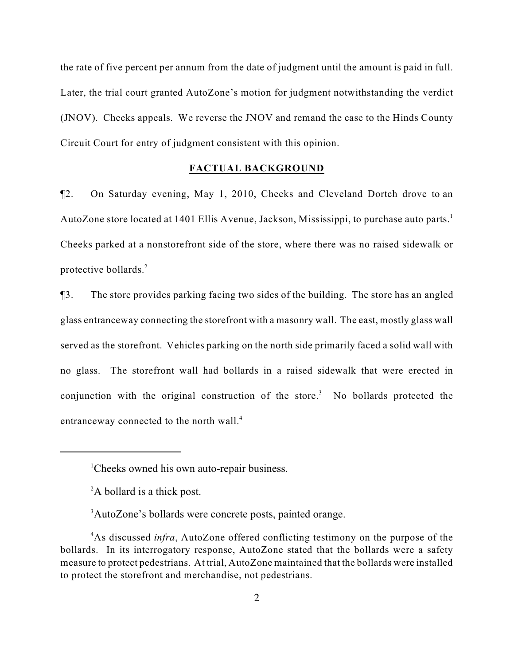the rate of five percent per annum from the date of judgment until the amount is paid in full. Later, the trial court granted AutoZone's motion for judgment notwithstanding the verdict (JNOV). Cheeks appeals. We reverse the JNOV and remand the case to the Hinds County Circuit Court for entry of judgment consistent with this opinion.

### **FACTUAL BACKGROUND**

¶2. On Saturday evening, May 1, 2010, Cheeks and Cleveland Dortch drove to an AutoZone store located at 1401 Ellis Avenue, Jackson, Mississippi, to purchase auto parts.<sup>1</sup> Cheeks parked at a nonstorefront side of the store, where there was no raised sidewalk or protective bollards.<sup>2</sup>

¶3. The store provides parking facing two sides of the building. The store has an angled glass entranceway connecting the storefront with a masonry wall. The east, mostly glass wall served as the storefront. Vehicles parking on the north side primarily faced a solid wall with no glass. The storefront wall had bollards in a raised sidewalk that were erected in conjunction with the original construction of the store.<sup>3</sup> No bollards protected the entranceway connected to the north wall.<sup>4</sup>

<sup>&</sup>lt;sup>1</sup>Cheeks owned his own auto-repair business.

 $A$  bollard is a thick post.

<sup>&</sup>lt;sup>3</sup>AutoZone's bollards were concrete posts, painted orange.

<sup>&</sup>lt;sup>4</sup>As discussed *infra*, AutoZone offered conflicting testimony on the purpose of the bollards. In its interrogatory response, AutoZone stated that the bollards were a safety measure to protect pedestrians. At trial, AutoZone maintained that the bollards were installed to protect the storefront and merchandise, not pedestrians.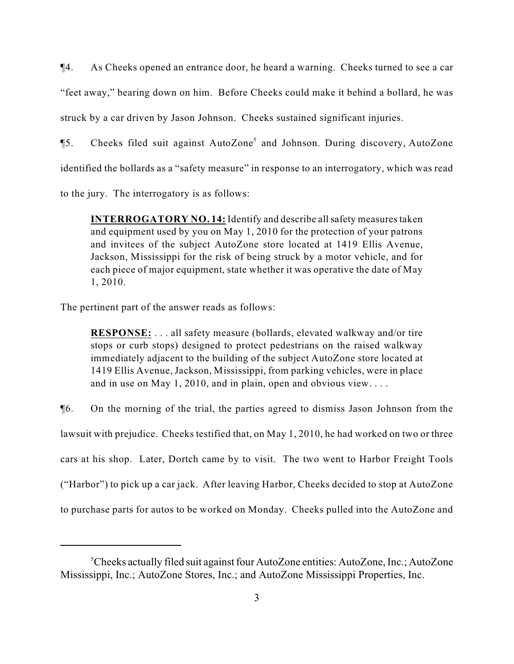¶4. As Cheeks opened an entrance door, he heard a warning. Cheeks turned to see a car "feet away," bearing down on him. Before Cheeks could make it behind a bollard, he was struck by a car driven by Jason Johnson. Cheeks sustained significant injuries.

**[5.** Cheeks filed suit against AutoZone<sup>5</sup> and Johnson. During discovery, AutoZone identified the bollards as a "safety measure" in response to an interrogatory, which was read

to the jury. The interrogatory is as follows:

**INTERROGATORY NO. 14:** Identify and describe all safety measures taken and equipment used by you on May 1, 2010 for the protection of your patrons and invitees of the subject AutoZone store located at 1419 Ellis Avenue, Jackson, Mississippi for the risk of being struck by a motor vehicle, and for each piece of major equipment, state whether it was operative the date of May 1, 2010.

The pertinent part of the answer reads as follows:

**RESPONSE:** . . . all safety measure (bollards, elevated walkway and/or tire stops or curb stops) designed to protect pedestrians on the raised walkway immediately adjacent to the building of the subject AutoZone store located at 1419 Ellis Avenue, Jackson, Mississippi, from parking vehicles, were in place and in use on May 1, 2010, and in plain, open and obvious view. . . .

¶6. On the morning of the trial, the parties agreed to dismiss Jason Johnson from the lawsuit with prejudice. Cheeks testified that, on May 1, 2010, he had worked on two or three cars at his shop. Later, Dortch came by to visit. The two went to Harbor Freight Tools ("Harbor") to pick up a car jack. After leaving Harbor, Cheeks decided to stop at AutoZone to purchase parts for autos to be worked on Monday. Cheeks pulled into the AutoZone and

<sup>&</sup>lt;sup>5</sup>Cheeks actually filed suit against four AutoZone entities: AutoZone, Inc.; AutoZone Mississippi, Inc.; AutoZone Stores, Inc.; and AutoZone Mississippi Properties, Inc.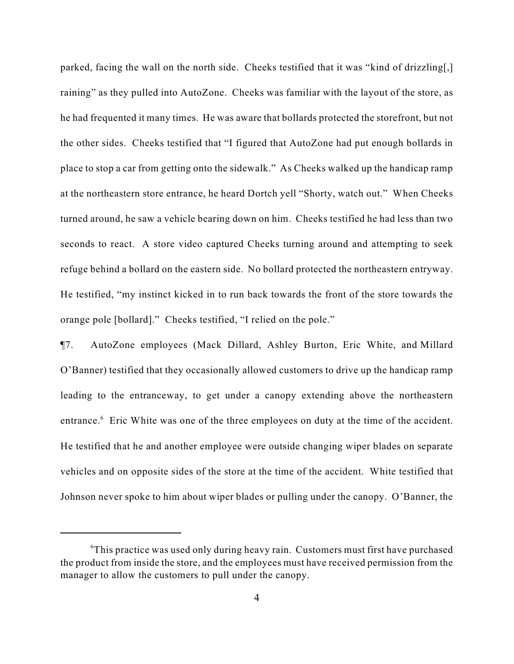parked, facing the wall on the north side. Cheeks testified that it was "kind of drizzling[,] raining" as they pulled into AutoZone. Cheeks was familiar with the layout of the store, as he had frequented it many times. He was aware that bollards protected the storefront, but not the other sides. Cheeks testified that "I figured that AutoZone had put enough bollards in place to stop a car from getting onto the sidewalk." As Cheeks walked up the handicap ramp at the northeastern store entrance, he heard Dortch yell "Shorty, watch out." When Cheeks turned around, he saw a vehicle bearing down on him. Cheeks testified he had less than two seconds to react. A store video captured Cheeks turning around and attempting to seek refuge behind a bollard on the eastern side. No bollard protected the northeastern entryway. He testified, "my instinct kicked in to run back towards the front of the store towards the orange pole [bollard]." Cheeks testified, "I relied on the pole."

¶7. AutoZone employees (Mack Dillard, Ashley Burton, Eric White, and Millard O'Banner) testified that they occasionally allowed customers to drive up the handicap ramp leading to the entranceway, to get under a canopy extending above the northeastern entrance.<sup>6</sup> Eric White was one of the three employees on duty at the time of the accident. He testified that he and another employee were outside changing wiper blades on separate vehicles and on opposite sides of the store at the time of the accident. White testified that Johnson never spoke to him about wiper blades or pulling under the canopy. O'Banner, the

 $\textdegree$ This practice was used only during heavy rain. Customers must first have purchased the product from inside the store, and the employees must have received permission from the manager to allow the customers to pull under the canopy.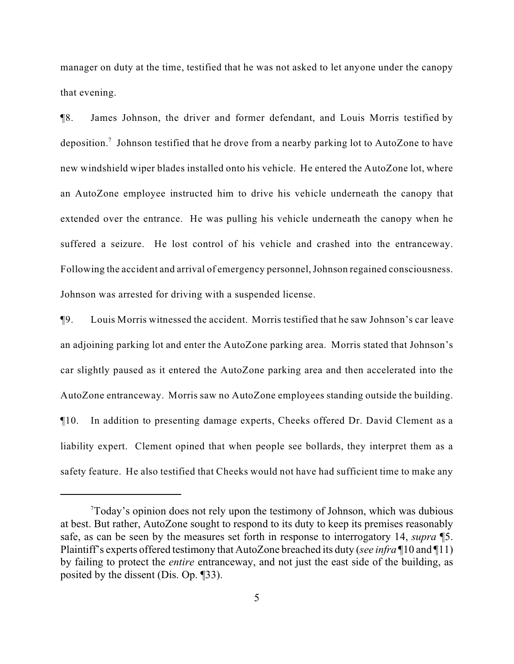manager on duty at the time, testified that he was not asked to let anyone under the canopy that evening.

¶8. James Johnson, the driver and former defendant, and Louis Morris testified by deposition.<sup>7</sup> Johnson testified that he drove from a nearby parking lot to AutoZone to have new windshield wiper blades installed onto his vehicle. He entered the AutoZone lot, where an AutoZone employee instructed him to drive his vehicle underneath the canopy that extended over the entrance. He was pulling his vehicle underneath the canopy when he suffered a seizure. He lost control of his vehicle and crashed into the entranceway. Following the accident and arrival of emergency personnel, Johnson regained consciousness. Johnson was arrested for driving with a suspended license.

¶9. Louis Morris witnessed the accident. Morris testified that he saw Johnson's car leave an adjoining parking lot and enter the AutoZone parking area. Morris stated that Johnson's car slightly paused as it entered the AutoZone parking area and then accelerated into the AutoZone entranceway. Morris saw no AutoZone employees standing outside the building. ¶10. In addition to presenting damage experts, Cheeks offered Dr. David Clement as a liability expert. Clement opined that when people see bollards, they interpret them as a safety feature. He also testified that Cheeks would not have had sufficient time to make any

 $T$ Today's opinion does not rely upon the testimony of Johnson, which was dubious at best. But rather, AutoZone sought to respond to its duty to keep its premises reasonably safe, as can be seen by the measures set forth in response to interrogatory 14, *supra* ¶5. Plaintiff's experts offered testimony that AutoZone breached its duty (*see infra* ¶10 and ¶11) by failing to protect the *entire* entranceway, and not just the east side of the building, as posited by the dissent (Dis. Op. ¶33).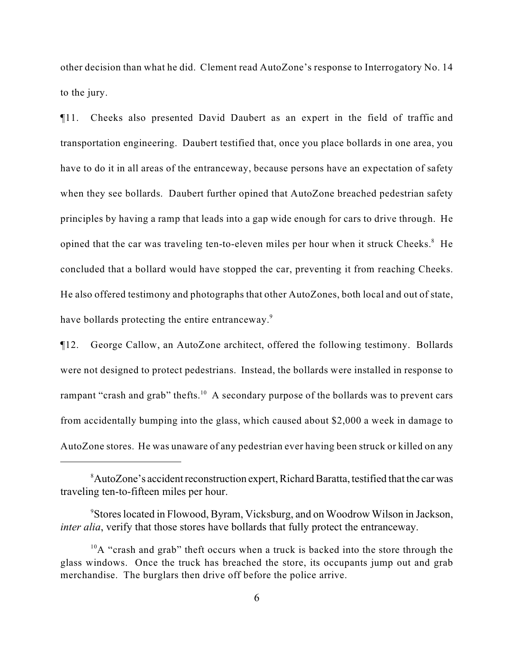other decision than what he did. Clement read AutoZone's response to Interrogatory No. 14 to the jury.

¶11. Cheeks also presented David Daubert as an expert in the field of traffic and transportation engineering. Daubert testified that, once you place bollards in one area, you have to do it in all areas of the entranceway, because persons have an expectation of safety when they see bollards. Daubert further opined that AutoZone breached pedestrian safety principles by having a ramp that leads into a gap wide enough for cars to drive through. He opined that the car was traveling ten-to-eleven miles per hour when it struck Cheeks.<sup>8</sup> He concluded that a bollard would have stopped the car, preventing it from reaching Cheeks. He also offered testimony and photographs that other AutoZones, both local and out of state, have bollards protecting the entire entranceway.<sup>9</sup>

¶12. George Callow, an AutoZone architect, offered the following testimony. Bollards were not designed to protect pedestrians. Instead, the bollards were installed in response to rampant "crash and grab" thefts. $10$  A secondary purpose of the bollards was to prevent cars from accidentally bumping into the glass, which caused about \$2,000 a week in damage to AutoZone stores. He was unaware of any pedestrian ever having been struck or killed on any

AutoZone's accident reconstruction expert, Richard Baratta, testified that the car was <sup>8</sup> traveling ten-to-fifteen miles per hour.

Stores located in Flowood, Byram, Vicksburg, and on Woodrow Wilson in Jackson, <sup>9</sup> *inter alia*, verify that those stores have bollards that fully protect the entranceway.

 $^{10}$ A "crash and grab" theft occurs when a truck is backed into the store through the glass windows. Once the truck has breached the store, its occupants jump out and grab merchandise. The burglars then drive off before the police arrive.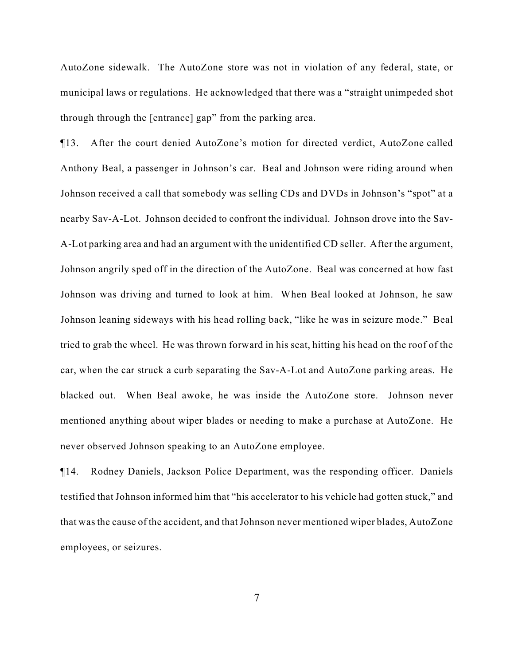AutoZone sidewalk. The AutoZone store was not in violation of any federal, state, or municipal laws or regulations. He acknowledged that there was a "straight unimpeded shot through through the [entrance] gap" from the parking area.

¶13. After the court denied AutoZone's motion for directed verdict, AutoZone called Anthony Beal, a passenger in Johnson's car. Beal and Johnson were riding around when Johnson received a call that somebody was selling CDs and DVDs in Johnson's "spot" at a nearby Sav-A-Lot. Johnson decided to confront the individual. Johnson drove into the Sav-A-Lot parking area and had an argument with the unidentified CD seller. After the argument, Johnson angrily sped off in the direction of the AutoZone. Beal was concerned at how fast Johnson was driving and turned to look at him. When Beal looked at Johnson, he saw Johnson leaning sideways with his head rolling back, "like he was in seizure mode." Beal tried to grab the wheel. He was thrown forward in his seat, hitting his head on the roof of the car, when the car struck a curb separating the Sav-A-Lot and AutoZone parking areas. He blacked out. When Beal awoke, he was inside the AutoZone store. Johnson never mentioned anything about wiper blades or needing to make a purchase at AutoZone. He never observed Johnson speaking to an AutoZone employee.

¶14. Rodney Daniels, Jackson Police Department, was the responding officer. Daniels testified that Johnson informed him that "his accelerator to his vehicle had gotten stuck," and that was the cause of the accident, and that Johnson never mentioned wiper blades, AutoZone employees, or seizures.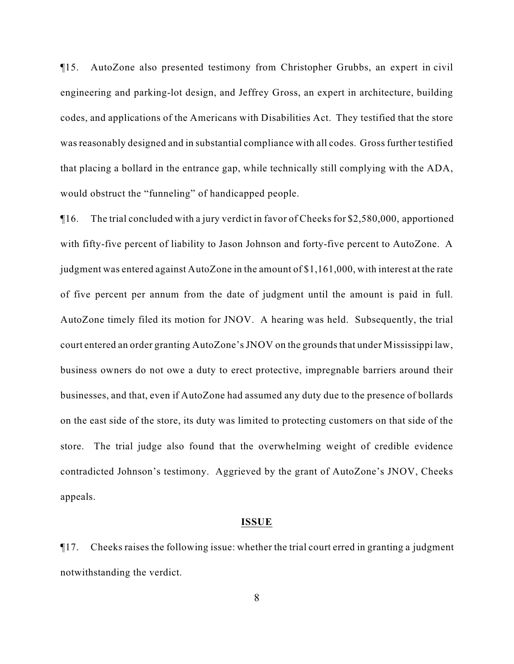¶15. AutoZone also presented testimony from Christopher Grubbs, an expert in civil engineering and parking-lot design, and Jeffrey Gross, an expert in architecture, building codes, and applications of the Americans with Disabilities Act. They testified that the store was reasonably designed and in substantial compliance with all codes. Gross further testified that placing a bollard in the entrance gap, while technically still complying with the ADA, would obstruct the "funneling" of handicapped people.

¶16. The trial concluded with a jury verdict in favor of Cheeks for \$2,580,000, apportioned with fifty-five percent of liability to Jason Johnson and forty-five percent to AutoZone. A judgment was entered against AutoZone in the amount of \$1,161,000, with interest at the rate of five percent per annum from the date of judgment until the amount is paid in full. AutoZone timely filed its motion for JNOV. A hearing was held. Subsequently, the trial court entered an order granting AutoZone's JNOV on the grounds that under Mississippi law, business owners do not owe a duty to erect protective, impregnable barriers around their businesses, and that, even if AutoZone had assumed any duty due to the presence of bollards on the east side of the store, its duty was limited to protecting customers on that side of the store. The trial judge also found that the overwhelming weight of credible evidence contradicted Johnson's testimony. Aggrieved by the grant of AutoZone's JNOV, Cheeks appeals.

#### **ISSUE**

¶17. Cheeks raises the following issue: whether the trial court erred in granting a judgment notwithstanding the verdict.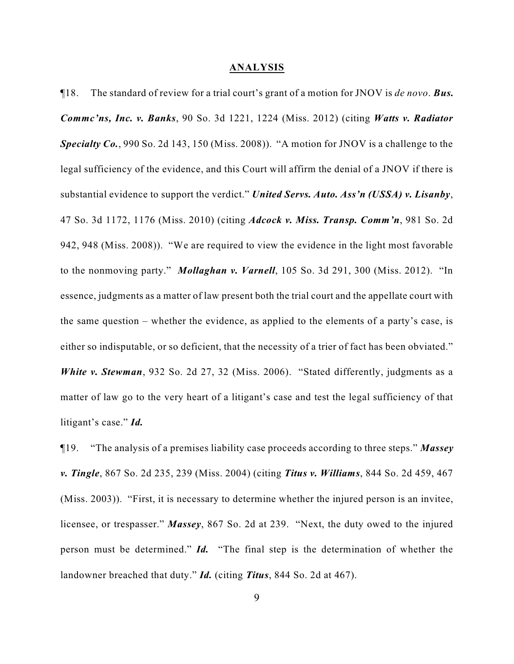#### **ANALYSIS**

¶18. The standard of review for a trial court's grant of a motion for JNOV is *de novo*. *Bus. Commc'ns, Inc. v. Banks*, 90 So. 3d 1221, 1224 (Miss. 2012) (citing *Watts v. Radiator Specialty Co.*, 990 So. 2d 143, 150 (Miss. 2008)). "A motion for JNOV is a challenge to the legal sufficiency of the evidence, and this Court will affirm the denial of a JNOV if there is substantial evidence to support the verdict." *United Servs. Auto. Ass'n (USSA) v. Lisanby*, 47 So. 3d 1172, 1176 (Miss. 2010) (citing *Adcock v. Miss. Transp. Comm'n*, 981 So. 2d 942, 948 (Miss. 2008)). "We are required to view the evidence in the light most favorable to the nonmoving party." *Mollaghan v. Varnell*, 105 So. 3d 291, 300 (Miss. 2012). "In essence, judgments as a matter of law present both the trial court and the appellate court with the same question – whether the evidence, as applied to the elements of a party's case, is either so indisputable, or so deficient, that the necessity of a trier of fact has been obviated." *White v. Stewman*, 932 So. 2d 27, 32 (Miss. 2006). "Stated differently, judgments as a matter of law go to the very heart of a litigant's case and test the legal sufficiency of that litigant's case." *Id.*

¶19. "The analysis of a premises liability case proceeds according to three steps." *Massey v. Tingle*, 867 So. 2d 235, 239 (Miss. 2004) (citing *Titus v. Williams*, 844 So. 2d 459, 467 (Miss. 2003)). "First, it is necessary to determine whether the injured person is an invitee, licensee, or trespasser." *Massey*, 867 So. 2d at 239. "Next, the duty owed to the injured person must be determined." *Id.* "The final step is the determination of whether the landowner breached that duty." *Id.* (citing *Titus*, 844 So. 2d at 467).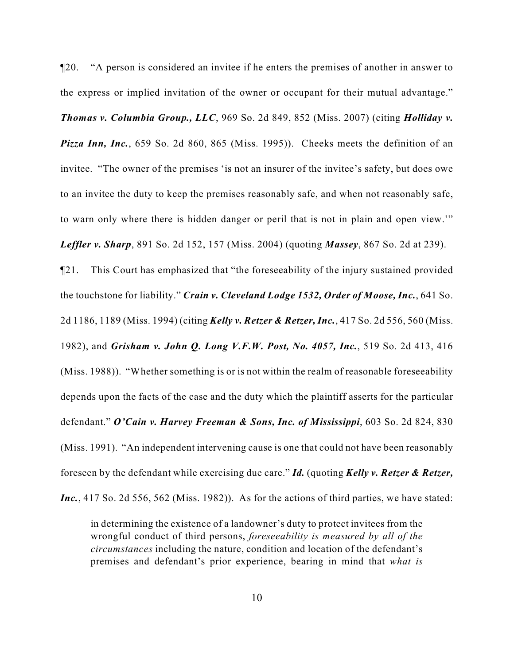¶20. "A person is considered an invitee if he enters the premises of another in answer to the express or implied invitation of the owner or occupant for their mutual advantage."

*Thomas v. Columbia Group., LLC*, 969 So. 2d 849, 852 (Miss. 2007) (citing *Holliday v. Pizza Inn, Inc.*, 659 So. 2d 860, 865 (Miss. 1995)). Cheeks meets the definition of an invitee. "The owner of the premises 'is not an insurer of the invitee's safety, but does owe to an invitee the duty to keep the premises reasonably safe, and when not reasonably safe, to warn only where there is hidden danger or peril that is not in plain and open view.'" *Leffler v. Sharp*, 891 So. 2d 152, 157 (Miss. 2004) (quoting *Massey*, 867 So. 2d at 239).

¶21. This Court has emphasized that "the foreseeability of the injury sustained provided the touchstone for liability." *Crain v. Cleveland Lodge 1532, Order of Moose, Inc.*, 641 So. 2d 1186, 1189 (Miss. 1994) (citing *Kelly v. Retzer & Retzer, Inc.*, 417 So. 2d 556, 560 (Miss. 1982), and *Grisham v. John Q. Long V.F.W. Post, No. 4057, Inc.*, 519 So. 2d 413, 416 (Miss. 1988)). "Whether something is or is not within the realm of reasonable foreseeability depends upon the facts of the case and the duty which the plaintiff asserts for the particular defendant." *O'Cain v. Harvey Freeman & Sons, Inc. of Mississippi*, 603 So. 2d 824, 830 (Miss. 1991). "An independent intervening cause is one that could not have been reasonably foreseen by the defendant while exercising due care." *Id.* (quoting *Kelly v. Retzer & Retzer, Inc.*, 417 So. 2d 556, 562 (Miss. 1982)). As for the actions of third parties, we have stated:

in determining the existence of a landowner's duty to protect invitees from the wrongful conduct of third persons, *foreseeability is measured by all of the circumstances* including the nature, condition and location of the defendant's premises and defendant's prior experience, bearing in mind that *what is*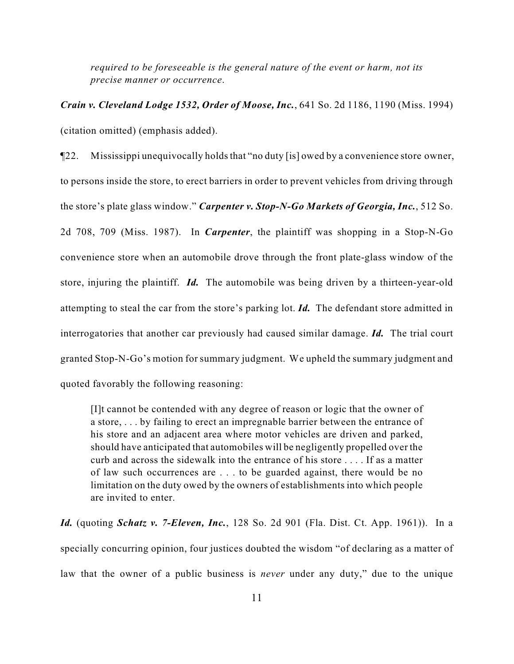*required to be foreseeable is the general nature of the event or harm, not its precise manner or occurrence*.

*Crain v. Cleveland Lodge 1532, Order of Moose, Inc.*, 641 So. 2d 1186, 1190 (Miss. 1994) (citation omitted) (emphasis added).

¶22. Mississippi unequivocally holds that "no duty [is] owed by a convenience store owner, to persons inside the store, to erect barriers in order to prevent vehicles from driving through the store's plate glass window." *Carpenter v. Stop-N-Go Markets of Georgia, Inc.*, 512 So. 2d 708, 709 (Miss. 1987). In *Carpenter*, the plaintiff was shopping in a Stop-N-Go convenience store when an automobile drove through the front plate-glass window of the store, injuring the plaintiff. *Id.* The automobile was being driven by a thirteen-year-old attempting to steal the car from the store's parking lot. *Id.* The defendant store admitted in interrogatories that another car previously had caused similar damage. *Id.* The trial court granted Stop-N-Go's motion for summary judgment. We upheld the summary judgment and quoted favorably the following reasoning:

[I]t cannot be contended with any degree of reason or logic that the owner of a store, . . . by failing to erect an impregnable barrier between the entrance of his store and an adjacent area where motor vehicles are driven and parked, should have anticipated that automobiles will be negligently propelled over the curb and across the sidewalk into the entrance of his store . . . . If as a matter of law such occurrences are . . . to be guarded against, there would be no limitation on the duty owed by the owners of establishments into which people are invited to enter.

*Id.* (quoting *Schatz v. 7-Eleven, Inc.*, 128 So. 2d 901 (Fla. Dist. Ct. App. 1961)). In a specially concurring opinion, four justices doubted the wisdom "of declaring as a matter of law that the owner of a public business is *never* under any duty," due to the unique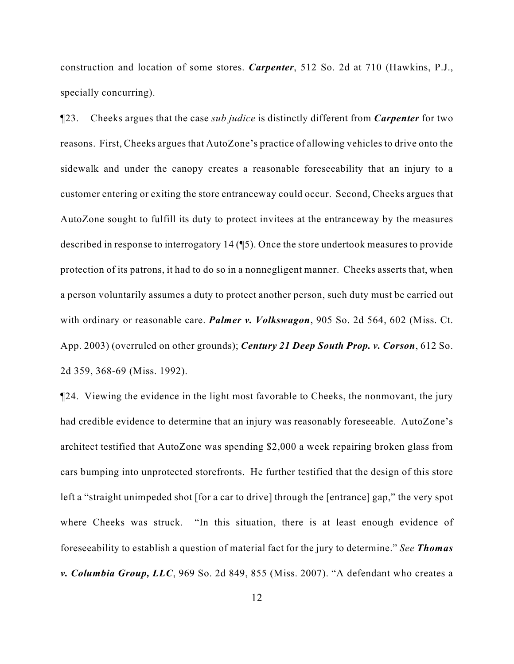construction and location of some stores. *Carpenter*, 512 So. 2d at 710 (Hawkins, P.J., specially concurring).

¶23. Cheeks argues that the case *sub judice* is distinctly different from *Carpenter* for two reasons. First, Cheeks argues that AutoZone's practice of allowing vehicles to drive onto the sidewalk and under the canopy creates a reasonable foreseeability that an injury to a customer entering or exiting the store entranceway could occur. Second, Cheeks argues that AutoZone sought to fulfill its duty to protect invitees at the entranceway by the measures described in response to interrogatory 14 (¶5). Once the store undertook measures to provide protection of its patrons, it had to do so in a nonnegligent manner. Cheeks asserts that, when a person voluntarily assumes a duty to protect another person, such duty must be carried out with ordinary or reasonable care. *Palmer v. Volkswagon*, 905 So. 2d 564, 602 (Miss. Ct. App. 2003) (overruled on other grounds); *Century 21 Deep South Prop. v. Corson*, 612 So. 2d 359, 368-69 (Miss. 1992).

¶24. Viewing the evidence in the light most favorable to Cheeks, the nonmovant, the jury had credible evidence to determine that an injury was reasonably foreseeable. AutoZone's architect testified that AutoZone was spending \$2,000 a week repairing broken glass from cars bumping into unprotected storefronts. He further testified that the design of this store left a "straight unimpeded shot [for a car to drive] through the [entrance] gap," the very spot where Cheeks was struck. "In this situation, there is at least enough evidence of foreseeability to establish a question of material fact for the jury to determine." *See Thomas v. Columbia Group, LLC*, 969 So. 2d 849, 855 (Miss. 2007). "A defendant who creates a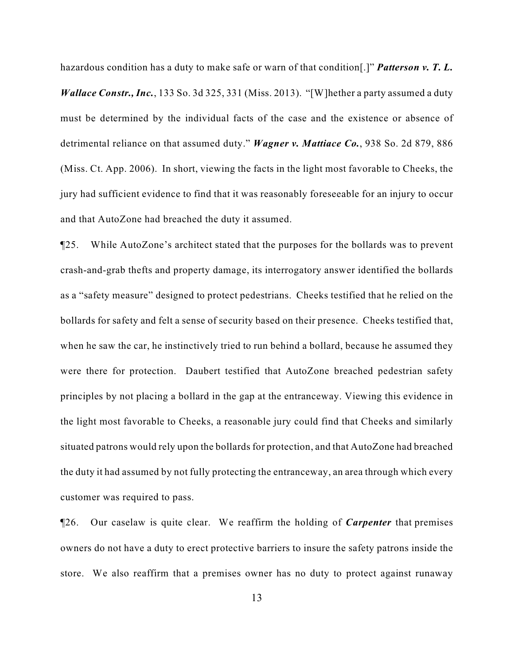hazardous condition has a duty to make safe or warn of that condition[.]" *Patterson v. T. L. Wallace Constr., Inc.*, 133 So. 3d 325, 331 (Miss. 2013). "[W] hether a party assumed a duty must be determined by the individual facts of the case and the existence or absence of detrimental reliance on that assumed duty." *Wagner v. Mattiace Co.*, 938 So. 2d 879, 886 (Miss. Ct. App. 2006). In short, viewing the facts in the light most favorable to Cheeks, the jury had sufficient evidence to find that it was reasonably foreseeable for an injury to occur and that AutoZone had breached the duty it assumed.

¶25. While AutoZone's architect stated that the purposes for the bollards was to prevent crash-and-grab thefts and property damage, its interrogatory answer identified the bollards as a "safety measure" designed to protect pedestrians. Cheeks testified that he relied on the bollards for safety and felt a sense of security based on their presence. Cheeks testified that, when he saw the car, he instinctively tried to run behind a bollard, because he assumed they were there for protection. Daubert testified that AutoZone breached pedestrian safety principles by not placing a bollard in the gap at the entranceway. Viewing this evidence in the light most favorable to Cheeks, a reasonable jury could find that Cheeks and similarly situated patrons would rely upon the bollards for protection, and that AutoZone had breached the duty it had assumed by not fully protecting the entranceway, an area through which every customer was required to pass.

¶26. Our caselaw is quite clear. We reaffirm the holding of *Carpenter* that premises owners do not have a duty to erect protective barriers to insure the safety patrons inside the store. We also reaffirm that a premises owner has no duty to protect against runaway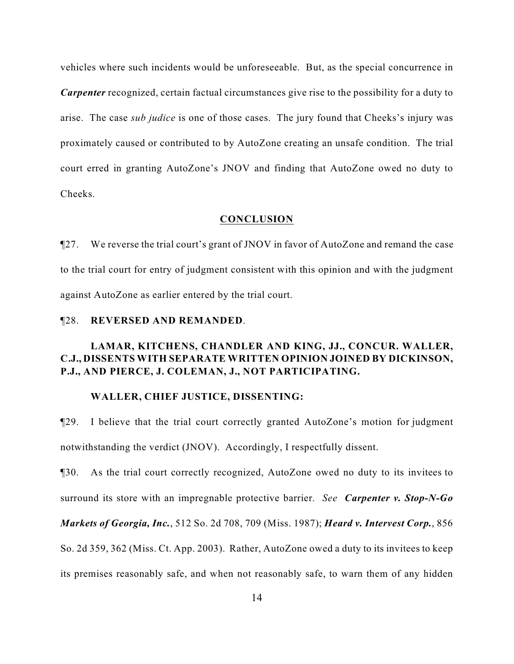vehicles where such incidents would be unforeseeable. But, as the special concurrence in *Carpenter* recognized, certain factual circumstances give rise to the possibility for a duty to arise. The case *sub judice* is one of those cases. The jury found that Cheeks's injury was proximately caused or contributed to by AutoZone creating an unsafe condition. The trial court erred in granting AutoZone's JNOV and finding that AutoZone owed no duty to Cheeks.

### **CONCLUSION**

¶27. We reverse the trial court's grant of JNOV in favor of AutoZone and remand the case to the trial court for entry of judgment consistent with this opinion and with the judgment against AutoZone as earlier entered by the trial court.

# ¶28. **REVERSED AND REMANDED**.

# **LAMAR, KITCHENS, CHANDLER AND KING, JJ., CONCUR. WALLER, C.J., DISSENTS WITH SEPARATE WRITTEN OPINION JOINED BY DICKINSON, P.J., AND PIERCE, J. COLEMAN, J., NOT PARTICIPATING.**

#### **WALLER, CHIEF JUSTICE, DISSENTING:**

¶29. I believe that the trial court correctly granted AutoZone's motion for judgment notwithstanding the verdict (JNOV). Accordingly, I respectfully dissent.

¶30. As the trial court correctly recognized, AutoZone owed no duty to its invitees to surround its store with an impregnable protective barrier. *See Carpenter v. Stop-N-Go*

*Markets of Georgia, Inc.*, 512 So. 2d 708, 709 (Miss. 1987); *Heard v. Intervest Corp.*, 856

So. 2d 359, 362 (Miss. Ct. App. 2003). Rather, AutoZone owed a duty to its invitees to keep

its premises reasonably safe, and when not reasonably safe, to warn them of any hidden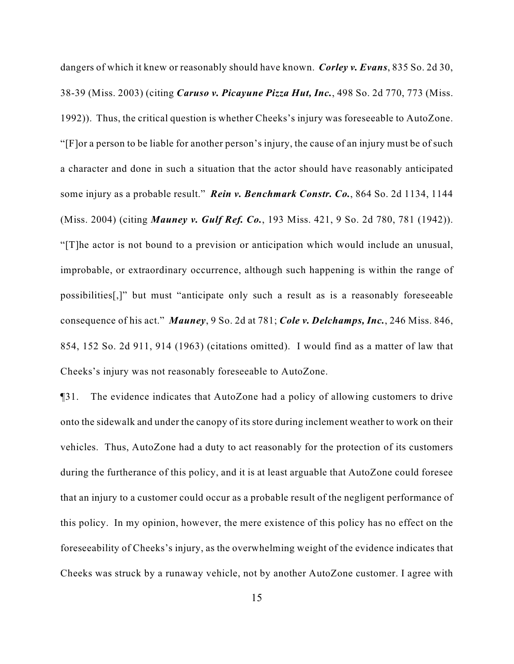dangers of which it knew or reasonably should have known. *Corley v. Evans*, 835 So. 2d 30, 38-39 (Miss. 2003) (citing *Caruso v. Picayune Pizza Hut, Inc.*, 498 So. 2d 770, 773 (Miss. 1992)). Thus, the critical question is whether Cheeks's injury was foreseeable to AutoZone. "[F]or a person to be liable for another person's injury, the cause of an injury must be of such a character and done in such a situation that the actor should have reasonably anticipated some injury as a probable result." *Rein v. Benchmark Constr. Co.*, 864 So. 2d 1134, 1144 (Miss. 2004) (citing *Mauney v. Gulf Ref. Co.*, 193 Miss. 421, 9 So. 2d 780, 781 (1942)). "[T]he actor is not bound to a prevision or anticipation which would include an unusual, improbable, or extraordinary occurrence, although such happening is within the range of possibilities[,]" but must "anticipate only such a result as is a reasonably foreseeable consequence of his act." *Mauney*, 9 So. 2d at 781; *Cole v. Delchamps, Inc.*, 246 Miss. 846, 854, 152 So. 2d 911, 914 (1963) (citations omitted). I would find as a matter of law that Cheeks's injury was not reasonably foreseeable to AutoZone.

¶31. The evidence indicates that AutoZone had a policy of allowing customers to drive onto the sidewalk and under the canopy of its store during inclement weather to work on their vehicles. Thus, AutoZone had a duty to act reasonably for the protection of its customers during the furtherance of this policy, and it is at least arguable that AutoZone could foresee that an injury to a customer could occur as a probable result of the negligent performance of this policy. In my opinion, however, the mere existence of this policy has no effect on the foreseeability of Cheeks's injury, as the overwhelming weight of the evidence indicates that Cheeks was struck by a runaway vehicle, not by another AutoZone customer. I agree with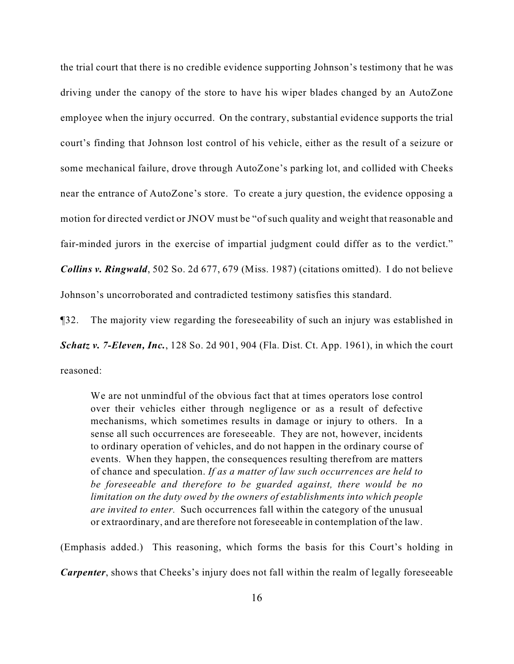the trial court that there is no credible evidence supporting Johnson's testimony that he was driving under the canopy of the store to have his wiper blades changed by an AutoZone employee when the injury occurred. On the contrary, substantial evidence supports the trial court's finding that Johnson lost control of his vehicle, either as the result of a seizure or some mechanical failure, drove through AutoZone's parking lot, and collided with Cheeks near the entrance of AutoZone's store. To create a jury question, the evidence opposing a motion for directed verdict or JNOV must be "of such quality and weight that reasonable and fair-minded jurors in the exercise of impartial judgment could differ as to the verdict." *Collins v. Ringwald*, 502 So. 2d 677, 679 (Miss. 1987) (citations omitted). I do not believe Johnson's uncorroborated and contradicted testimony satisfies this standard.

¶32. The majority view regarding the foreseeability of such an injury was established in *Schatz v. 7-Eleven, Inc.*, 128 So. 2d 901, 904 (Fla. Dist. Ct. App. 1961), in which the court reasoned:

We are not unmindful of the obvious fact that at times operators lose control over their vehicles either through negligence or as a result of defective mechanisms, which sometimes results in damage or injury to others. In a sense all such occurrences are foreseeable. They are not, however, incidents to ordinary operation of vehicles, and do not happen in the ordinary course of events. When they happen, the consequences resulting therefrom are matters of chance and speculation. *If as a matter of law such occurrences are held to be foreseeable and therefore to be guarded against, there would be no limitation on the duty owed by the owners of establishments into which people are invited to enter.* Such occurrences fall within the category of the unusual or extraordinary, and are therefore not foreseeable in contemplation of the law.

(Emphasis added.) This reasoning, which forms the basis for this Court's holding in

*Carpenter*, shows that Cheeks's injury does not fall within the realm of legally foreseeable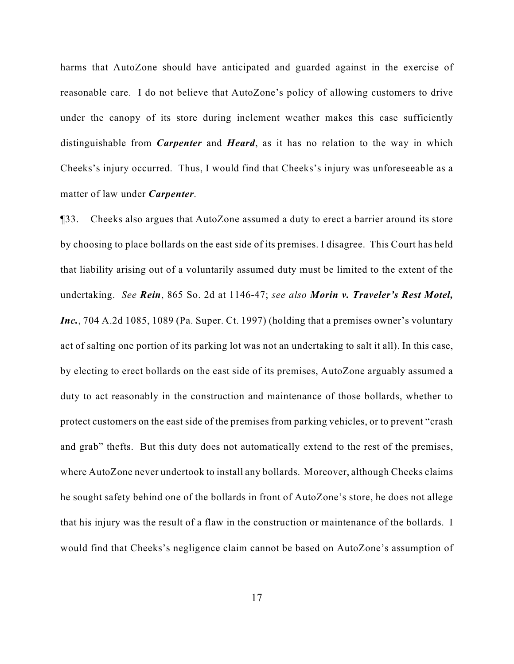harms that AutoZone should have anticipated and guarded against in the exercise of reasonable care. I do not believe that AutoZone's policy of allowing customers to drive under the canopy of its store during inclement weather makes this case sufficiently distinguishable from *Carpenter* and *Heard*, as it has no relation to the way in which Cheeks's injury occurred. Thus, I would find that Cheeks's injury was unforeseeable as a matter of law under *Carpenter*.

¶33. Cheeks also argues that AutoZone assumed a duty to erect a barrier around its store by choosing to place bollards on the east side of its premises. I disagree. This Court has held that liability arising out of a voluntarily assumed duty must be limited to the extent of the undertaking. *See Rein*, 865 So. 2d at 1146-47; *see also Morin v. Traveler's Rest Motel, Inc.*, 704 A.2d 1085, 1089 (Pa. Super. Ct. 1997) (holding that a premises owner's voluntary act of salting one portion of its parking lot was not an undertaking to salt it all). In this case, by electing to erect bollards on the east side of its premises, AutoZone arguably assumed a duty to act reasonably in the construction and maintenance of those bollards, whether to protect customers on the east side of the premises from parking vehicles, or to prevent "crash and grab" thefts. But this duty does not automatically extend to the rest of the premises, where AutoZone never undertook to install any bollards. Moreover, although Cheeks claims he sought safety behind one of the bollards in front of AutoZone's store, he does not allege that his injury was the result of a flaw in the construction or maintenance of the bollards. I would find that Cheeks's negligence claim cannot be based on AutoZone's assumption of